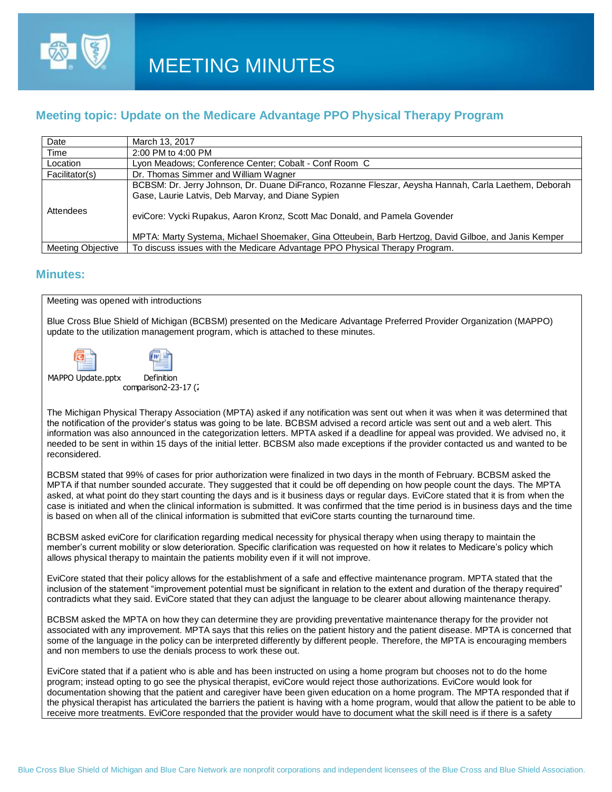

### **Meeting topic: Update on the Medicare Advantage PPO Physical Therapy Program**

| Date                     | March 13, 2017                                                                                                                                                                     |
|--------------------------|------------------------------------------------------------------------------------------------------------------------------------------------------------------------------------|
| Time                     | 2:00 PM to 4:00 PM                                                                                                                                                                 |
| Location                 | Lyon Meadows; Conference Center; Cobalt - Conf Room C                                                                                                                              |
| Facilitator(s)           | Dr. Thomas Simmer and William Wagner                                                                                                                                               |
| Attendees                | BCBSM: Dr. Jerry Johnson, Dr. Duane DiFranco, Rozanne Fleszar, Aeysha Hannah, Carla Laethem, Deborah<br>Gase, Laurie Latvis, Deb Marvay, and Diane Sypien                          |
|                          | eviCore: Vycki Rupakus, Aaron Kronz, Scott Mac Donald, and Pamela Govender<br>MPTA: Marty Systema, Michael Shoemaker, Gina Otteubein, Barb Hertzog, David Gilboe, and Janis Kemper |
|                          |                                                                                                                                                                                    |
| <b>Meeting Objective</b> | To discuss issues with the Medicare Advantage PPO Physical Therapy Program.                                                                                                        |

#### **Minutes:**

Meeting was opened with introductions

Blue Cross Blue Shield of Michigan (BCBSM) presented on the Medicare Advantage Preferred Provider Organization (MAPPO) update to the utilization management program, which is attached to these minutes.





MAPPO Update.pptx Definition comparison2-23-17 (2)

The Michigan Physical Therapy Association (MPTA) asked if any notification was sent out when it was when it was determined that the notification of the provider's status was going to be late. BCBSM advised a record article was sent out and a web alert. This information was also announced in the categorization letters. MPTA asked if a deadline for appeal was provided. We advised no, it needed to be sent in within 15 days of the initial letter. BCBSM also made exceptions if the provider contacted us and wanted to be reconsidered.

BCBSM stated that 99% of cases for prior authorization were finalized in two days in the month of February. BCBSM asked the MPTA if that number sounded accurate. They suggested that it could be off depending on how people count the days. The MPTA asked, at what point do they start counting the days and is it business days or regular days. EviCore stated that it is from when the case is initiated and when the clinical information is submitted. It was confirmed that the time period is in business days and the time is based on when all of the clinical information is submitted that eviCore starts counting the turnaround time.

BCBSM asked eviCore for clarification regarding medical necessity for physical therapy when using therapy to maintain the member's current mobility or slow deterioration. Specific clarification was requested on how it relates to Medicare's policy which allows physical therapy to maintain the patients mobility even if it will not improve.

EviCore stated that their policy allows for the establishment of a safe and effective maintenance program. MPTA stated that the inclusion of the statement "improvement potential must be significant in relation to the extent and duration of the therapy required" contradicts what they said. EviCore stated that they can adjust the language to be clearer about allowing maintenance therapy.

BCBSM asked the MPTA on how they can determine they are providing preventative maintenance therapy for the provider not associated with any improvement. MPTA says that this relies on the patient history and the patient disease. MPTA is concerned that some of the language in the policy can be interpreted differently by different people. Therefore, the MPTA is encouraging members and non members to use the denials process to work these out.

EviCore stated that if a patient who is able and has been instructed on using a home program but chooses not to do the home program; instead opting to go see the physical therapist, eviCore would reject those authorizations. EviCore would look for documentation showing that the patient and caregiver have been given education on a home program. The MPTA responded that if the physical therapist has articulated the barriers the patient is having with a home program, would that allow the patient to be able to receive more treatments. EviCore responded that the provider would have to document what the skill need is if there is a safety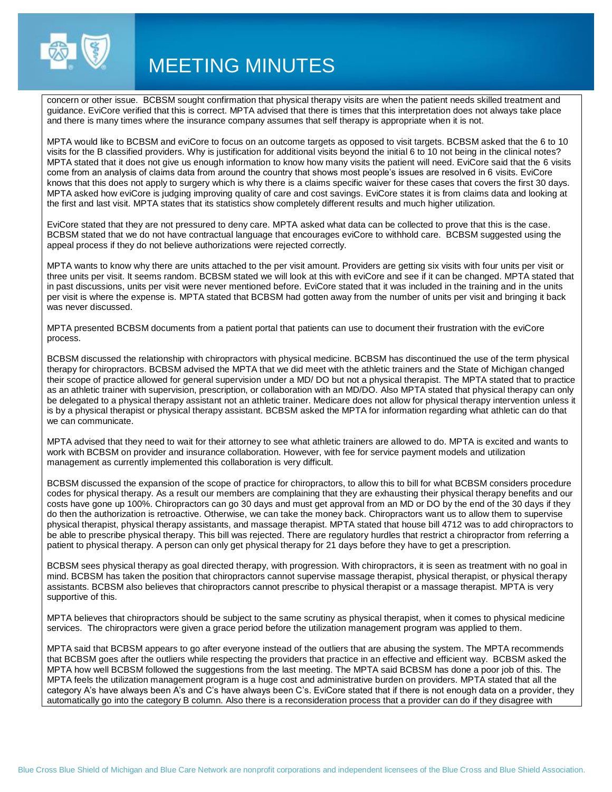

# MEETING MINUTES

concern or other issue. BCBSM sought confirmation that physical therapy visits are when the patient needs skilled treatment and guidance. EviCore verified that this is correct. MPTA advised that there is times that this interpretation does not always take place and there is many times where the insurance company assumes that self therapy is appropriate when it is not.

MPTA would like to BCBSM and eviCore to focus on an outcome targets as opposed to visit targets. BCBSM asked that the 6 to 10 visits for the B classified providers. Why is justification for additional visits beyond the initial 6 to 10 not being in the clinical notes? MPTA stated that it does not give us enough information to know how many visits the patient will need. EviCore said that the 6 visits come from an analysis of claims data from around the country that shows most people's issues are resolved in 6 visits. EviCore knows that this does not apply to surgery which is why there is a claims specific waiver for these cases that covers the first 30 days. MPTA asked how eviCore is judging improving quality of care and cost savings. EviCore states it is from claims data and looking at the first and last visit. MPTA states that its statistics show completely different results and much higher utilization.

EviCore stated that they are not pressured to deny care. MPTA asked what data can be collected to prove that this is the case. BCBSM stated that we do not have contractual language that encourages eviCore to withhold care. BCBSM suggested using the appeal process if they do not believe authorizations were rejected correctly.

MPTA wants to know why there are units attached to the per visit amount. Providers are getting six visits with four units per visit or three units per visit. It seems random. BCBSM stated we will look at this with eviCore and see if it can be changed. MPTA stated that in past discussions, units per visit were never mentioned before. EviCore stated that it was included in the training and in the units per visit is where the expense is. MPTA stated that BCBSM had gotten away from the number of units per visit and bringing it back was never discussed.

MPTA presented BCBSM documents from a patient portal that patients can use to document their frustration with the eviCore process.

BCBSM discussed the relationship with chiropractors with physical medicine. BCBSM has discontinued the use of the term physical therapy for chiropractors. BCBSM advised the MPTA that we did meet with the athletic trainers and the State of Michigan changed their scope of practice allowed for general supervision under a MD/ DO but not a physical therapist. The MPTA stated that to practice as an athletic trainer with supervision, prescription, or collaboration with an MD/DO. Also MPTA stated that physical therapy can only be delegated to a physical therapy assistant not an athletic trainer. Medicare does not allow for physical therapy intervention unless it is by a physical therapist or physical therapy assistant. BCBSM asked the MPTA for information regarding what athletic can do that we can communicate.

MPTA advised that they need to wait for their attorney to see what athletic trainers are allowed to do. MPTA is excited and wants to work with BCBSM on provider and insurance collaboration. However, with fee for service payment models and utilization management as currently implemented this collaboration is very difficult.

BCBSM discussed the expansion of the scope of practice for chiropractors, to allow this to bill for what BCBSM considers procedure codes for physical therapy. As a result our members are complaining that they are exhausting their physical therapy benefits and our costs have gone up 100%. Chiropractors can go 30 days and must get approval from an MD or DO by the end of the 30 days if they do then the authorization is retroactive. Otherwise, we can take the money back. Chiropractors want us to allow them to supervise physical therapist, physical therapy assistants, and massage therapist. MPTA stated that house bill 4712 was to add chiropractors to be able to prescribe physical therapy. This bill was rejected. There are regulatory hurdles that restrict a chiropractor from referring a patient to physical therapy. A person can only get physical therapy for 21 days before they have to get a prescription.

BCBSM sees physical therapy as goal directed therapy, with progression. With chiropractors, it is seen as treatment with no goal in mind. BCBSM has taken the position that chiropractors cannot supervise massage therapist, physical therapist, or physical therapy assistants. BCBSM also believes that chiropractors cannot prescribe to physical therapist or a massage therapist. MPTA is very supportive of this.

MPTA believes that chiropractors should be subject to the same scrutiny as physical therapist, when it comes to physical medicine services. The chiropractors were given a grace period before the utilization management program was applied to them.

MPTA said that BCBSM appears to go after everyone instead of the outliers that are abusing the system. The MPTA recommends that BCBSM goes after the outliers while respecting the providers that practice in an effective and efficient way. BCBSM asked the MPTA how well BCBSM followed the suggestions from the last meeting. The MPTA said BCBSM has done a poor job of this. The MPTA feels the utilization management program is a huge cost and administrative burden on providers. MPTA stated that all the category A's have always been A's and C's have always been C's. EviCore stated that if there is not enough data on a provider, they automatically go into the category B column. Also there is a reconsideration process that a provider can do if they disagree with